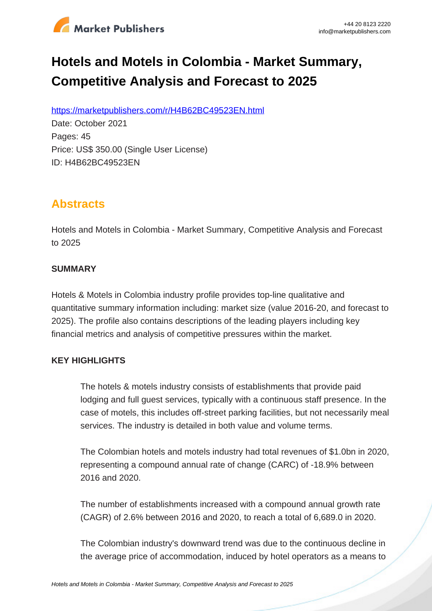

# **Hotels and Motels in Colombia - Market Summary, Competitive Analysis and Forecast to 2025**

https://marketpublishers.com/r/H4B62BC49523EN.html

Date: October 2021 Pages: 45 Price: US\$ 350.00 (Single User License) ID: H4B62BC49523EN

# **Abstracts**

Hotels and Motels in Colombia - Market Summary, Competitive Analysis and Forecast to 2025

### **SUMMARY**

Hotels & Motels in Colombia industry profile provides top-line qualitative and quantitative summary information including: market size (value 2016-20, and forecast to 2025). The profile also contains descriptions of the leading players including key financial metrics and analysis of competitive pressures within the market.

## **KEY HIGHLIGHTS**

The hotels & motels industry consists of establishments that provide paid lodging and full guest services, typically with a continuous staff presence. In the case of motels, this includes off-street parking facilities, but not necessarily meal services. The industry is detailed in both value and volume terms.

The Colombian hotels and motels industry had total revenues of \$1.0bn in 2020, representing a compound annual rate of change (CARC) of -18.9% between 2016 and 2020.

The number of establishments increased with a compound annual growth rate (CAGR) of 2.6% between 2016 and 2020, to reach a total of 6,689.0 in 2020.

The Colombian industry's downward trend was due to the continuous decline in the average price of accommodation, induced by hotel operators as a means to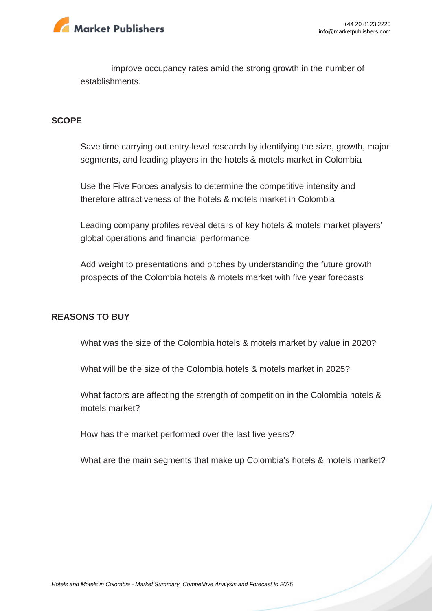

improve occupancy rates amid the strong growth in the number of establishments.

#### **SCOPE**

Save time carrying out entry-level research by identifying the size, growth, major segments, and leading players in the hotels & motels market in Colombia

Use the Five Forces analysis to determine the competitive intensity and therefore attractiveness of the hotels & motels market in Colombia

Leading company profiles reveal details of key hotels & motels market players' global operations and financial performance

Add weight to presentations and pitches by understanding the future growth prospects of the Colombia hotels & motels market with five year forecasts

#### **REASONS TO BUY**

What was the size of the Colombia hotels & motels market by value in 2020?

What will be the size of the Colombia hotels & motels market in 2025?

What factors are affecting the strength of competition in the Colombia hotels & motels market?

How has the market performed over the last five years?

What are the main segments that make up Colombia's hotels & motels market?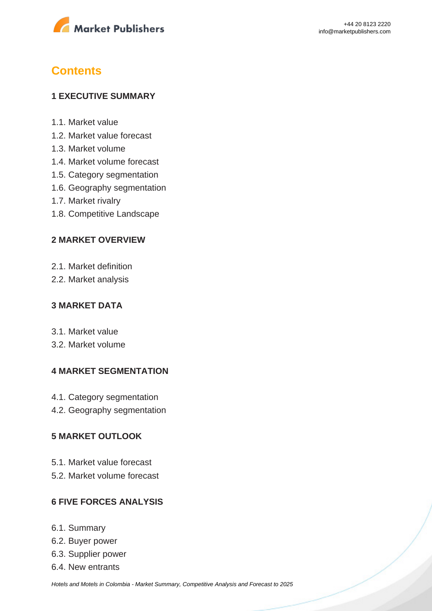

# **Contents**

#### **1 EXECUTIVE SUMMARY**

- 1.1. Market value
- 1.2. Market value forecast
- 1.3. Market volume
- 1.4. Market volume forecast
- 1.5. Category segmentation
- 1.6. Geography segmentation
- 1.7. Market rivalry
- 1.8. Competitive Landscape

#### **2 MARKET OVERVIEW**

- 2.1. Market definition
- 2.2. Market analysis

#### **3 MARKET DATA**

- 3.1. Market value
- 3.2. Market volume

#### **4 MARKET SEGMENTATION**

- 4.1. Category segmentation
- 4.2. Geography segmentation

#### **5 MARKET OUTLOOK**

- 5.1. Market value forecast
- 5.2. Market volume forecast

#### **6 FIVE FORCES ANALYSIS**

- 6.1. Summary
- 6.2. Buyer power
- 6.3. Supplier power
- 6.4. New entrants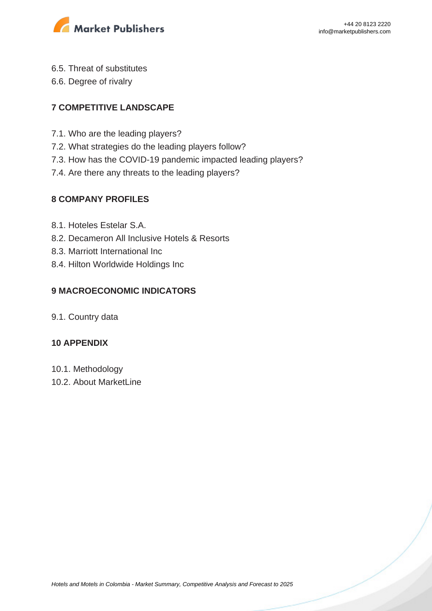

- 6.5. Threat of substitutes
- 6.6. Degree of rivalry

# **7 COMPETITIVE LANDSCAPE**

- 7.1. Who are the leading players?
- 7.2. What strategies do the leading players follow?
- 7.3. How has the COVID-19 pandemic impacted leading players?
- 7.4. Are there any threats to the leading players?

## **8 COMPANY PROFILES**

- 8.1. Hoteles Estelar S.A.
- 8.2. Decameron All Inclusive Hotels & Resorts
- 8.3. Marriott International Inc
- 8.4. Hilton Worldwide Holdings Inc

# **9 MACROECONOMIC INDICATORS**

9.1. Country data

## **10 APPENDIX**

- 10.1. Methodology
- 10.2. About MarketLine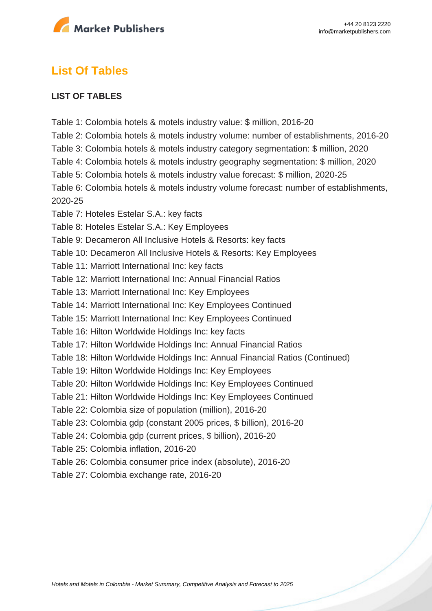

# **List Of Tables**

#### **LIST OF TABLES**

Table 1: Colombia hotels & motels industry value: \$ million, 2016-20 Table 2: Colombia hotels & motels industry volume: number of establishments, 2016-20 Table 3: Colombia hotels & motels industry category segmentation: \$ million, 2020 Table 4: Colombia hotels & motels industry geography segmentation: \$ million, 2020 Table 5: Colombia hotels & motels industry value forecast: \$ million, 2020-25 Table 6: Colombia hotels & motels industry volume forecast: number of establishments, 2020-25 Table 7: Hoteles Estelar S.A.: key facts Table 8: Hoteles Estelar S.A.: Key Employees Table 9: Decameron All Inclusive Hotels & Resorts: key facts Table 10: Decameron All Inclusive Hotels & Resorts: Key Employees Table 11: Marriott International Inc: key facts Table 12: Marriott International Inc: Annual Financial Ratios Table 13: Marriott International Inc: Key Employees Table 14: Marriott International Inc: Key Employees Continued Table 15: Marriott International Inc: Key Employees Continued Table 16: Hilton Worldwide Holdings Inc: key facts Table 17: Hilton Worldwide Holdings Inc: Annual Financial Ratios Table 18: Hilton Worldwide Holdings Inc: Annual Financial Ratios (Continued) Table 19: Hilton Worldwide Holdings Inc: Key Employees Table 20: Hilton Worldwide Holdings Inc: Key Employees Continued Table 21: Hilton Worldwide Holdings Inc: Key Employees Continued Table 22: Colombia size of population (million), 2016-20 Table 23: Colombia gdp (constant 2005 prices, \$ billion), 2016-20 Table 24: Colombia gdp (current prices, \$ billion), 2016-20 Table 25: Colombia inflation, 2016-20 Table 26: Colombia consumer price index (absolute), 2016-20 Table 27: Colombia exchange rate, 2016-20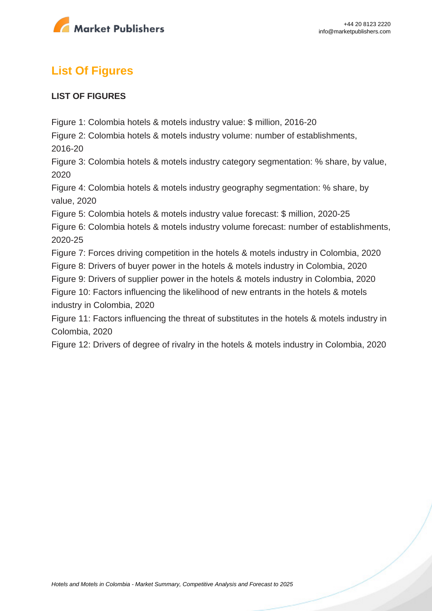

# **List Of Figures**

#### **LIST OF FIGURES**

Figure 1: Colombia hotels & motels industry value: \$ million, 2016-20

Figure 2: Colombia hotels & motels industry volume: number of establishments,

2016-20

Figure 3: Colombia hotels & motels industry category segmentation: % share, by value, 2020

Figure 4: Colombia hotels & motels industry geography segmentation: % share, by value, 2020

Figure 5: Colombia hotels & motels industry value forecast: \$ million, 2020-25

Figure 6: Colombia hotels & motels industry volume forecast: number of establishments, 2020-25

Figure 7: Forces driving competition in the hotels & motels industry in Colombia, 2020

Figure 8: Drivers of buyer power in the hotels & motels industry in Colombia, 2020

Figure 9: Drivers of supplier power in the hotels & motels industry in Colombia, 2020

Figure 10: Factors influencing the likelihood of new entrants in the hotels & motels

industry in Colombia, 2020

Figure 11: Factors influencing the threat of substitutes in the hotels & motels industry in Colombia, 2020

Figure 12: Drivers of degree of rivalry in the hotels & motels industry in Colombia, 2020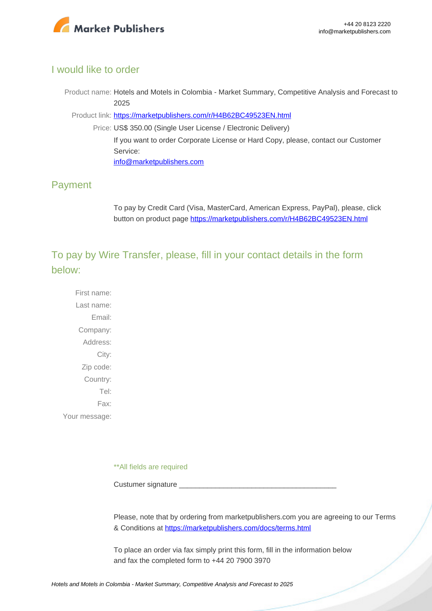

#### I would like to order

Product name: Hotels and Motels in Colombia - Market Summary, Competitive Analysis and Forecast to 2025

Product link: [https://marketpublishers.com/r/H4B62BC49523EN.html](https://marketpublishers.com/report/services/hotels/hotels-n-motels-in-colombia-market-summary-competitive-analysis-n-forecast-to-2025.html)

Price: US\$ 350.00 (Single User License / Electronic Delivery) If you want to order Corporate License or Hard Copy, please, contact our Customer Service: [info@marketpublishers.com](mailto:info@marketpublishers.com)

## Payment

To pay by Credit Card (Visa, MasterCard, American Express, PayPal), please, click button on product page [https://marketpublishers.com/r/H4B62BC49523EN.html](https://marketpublishers.com/report/services/hotels/hotels-n-motels-in-colombia-market-summary-competitive-analysis-n-forecast-to-2025.html)

To pay by Wire Transfer, please, fill in your contact details in the form below:

First name: Last name: Email: Company: Address: City: Zip code: Country: Tel: Fax: Your message:

\*\*All fields are required

Custumer signature

Please, note that by ordering from marketpublishers.com you are agreeing to our Terms & Conditions at<https://marketpublishers.com/docs/terms.html>

To place an order via fax simply print this form, fill in the information below and fax the completed form to +44 20 7900 3970